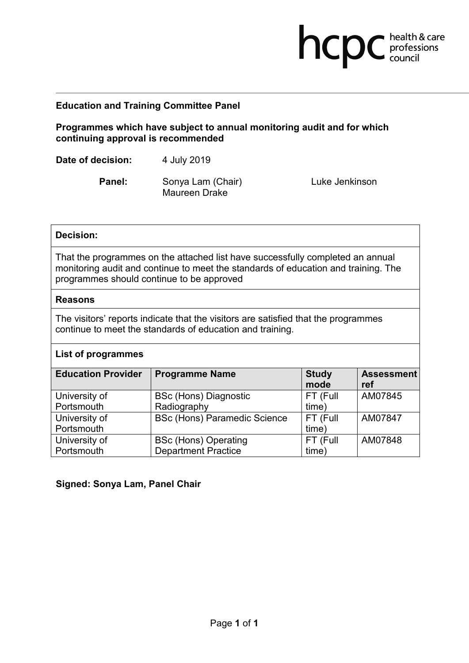# **Education and Training Committee Panel**

**Programmes which have subject to annual monitoring audit and for which continuing approval is recommended**

**Date of decision:** 4 July 2019

**Panel:** Sonya Lam (Chair) Maureen Drake

Luke Jenkinson

**health & care** 

## **Decision:**

That the programmes on the attached list have successfully completed an annual monitoring audit and continue to meet the standards of education and training. The programmes should continue to be approved

### **Reasons**

The visitors' reports indicate that the visitors are satisfied that the programmes continue to meet the standards of education and training.

## **List of programmes**

| <b>Education Provider</b> | <b>Programme Name</b>               | <b>Study</b><br>mode | <b>Assessment</b><br>ref |
|---------------------------|-------------------------------------|----------------------|--------------------------|
| University of             | <b>BSc (Hons) Diagnostic</b>        | FT (Full             | AM07845                  |
| Portsmouth                | Radiography                         | time)                |                          |
| University of             | <b>BSc (Hons) Paramedic Science</b> | FT (Full             | AM07847                  |
| Portsmouth                |                                     | time)                |                          |
| University of             | <b>BSc (Hons) Operating</b>         | FT (Full             | AM07848                  |
| Portsmouth                | <b>Department Practice</b>          | time)                |                          |

## **Signed: Sonya Lam, Panel Chair**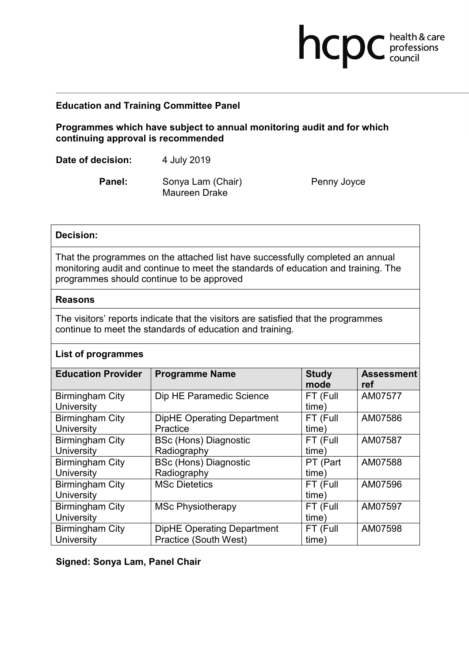## **Education and Training Committee Panel**

**Programmes which have subject to annual monitoring audit and for which continuing approval is recommended**

**Date of decision:** 4 July 2019

**Panel:** Sonya Lam (Chair) Maureen Drake

Penny Joyce

**health & care** 

## **Decision:**

That the programmes on the attached list have successfully completed an annual monitoring audit and continue to meet the standards of education and training. The programmes should continue to be approved

#### **Reasons**

The visitors' reports indicate that the visitors are satisfied that the programmes continue to meet the standards of education and training.

### **List of programmes**

| <b>Education Provider</b> | <b>Programme Name</b>             | <b>Study</b><br>mode | <b>Assessment</b><br>ref |
|---------------------------|-----------------------------------|----------------------|--------------------------|
| <b>Birmingham City</b>    | Dip HE Paramedic Science          | FT (Full             | AM07577                  |
| University                |                                   | time)                |                          |
| <b>Birmingham City</b>    | <b>DipHE Operating Department</b> | FT (Full             | AM07586                  |
| University                | Practice                          | time)                |                          |
| <b>Birmingham City</b>    | <b>BSc (Hons) Diagnostic</b>      | FT (Full             | AM07587                  |
| <b>University</b>         | Radiography                       | time)                |                          |
| <b>Birmingham City</b>    | <b>BSc (Hons) Diagnostic</b>      | PT (Part             | AM07588                  |
| University                | Radiography                       | time)                |                          |
| <b>Birmingham City</b>    | <b>MSc Dietetics</b>              | FT (Full             | AM07596                  |
| University                |                                   | time)                |                          |
| <b>Birmingham City</b>    | <b>MSc Physiotherapy</b>          | FT (Full             | AM07597                  |
| University                |                                   | time)                |                          |
| <b>Birmingham City</b>    | <b>DipHE Operating Department</b> | FT (Full             | AM07598                  |
| University                | Practice (South West)             | time)                |                          |

**Signed: Sonya Lam, Panel Chair**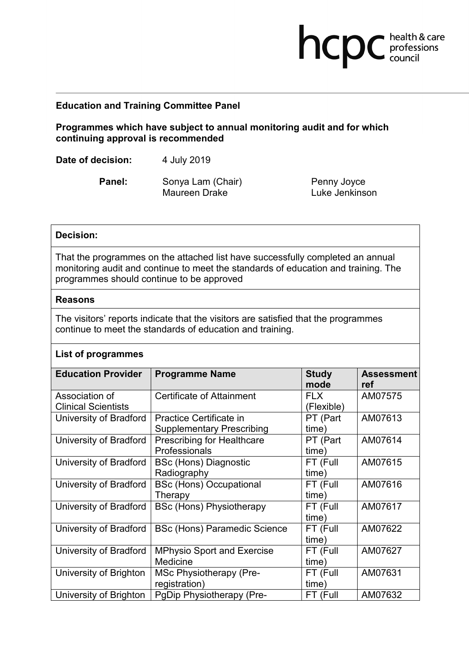## **Education and Training Committee Panel**

**Programmes which have subject to annual monitoring audit and for which continuing approval is recommended**

**Date of decision:** 4 July 2019

**Panel:** Sonya Lam (Chair) Maureen Drake

Penny Joyce Luke Jenkinson

**health & care** 

### **Decision:**

That the programmes on the attached list have successfully completed an annual monitoring audit and continue to meet the standards of education and training. The programmes should continue to be approved

### **Reasons**

The visitors' reports indicate that the visitors are satisfied that the programmes continue to meet the standards of education and training.

## **List of programmes**

| <b>Education Provider</b>                    | <b>Programme Name</b>                                       | <b>Study</b><br>mode     | <b>Assessment</b><br>ref |
|----------------------------------------------|-------------------------------------------------------------|--------------------------|--------------------------|
| Association of<br><b>Clinical Scientists</b> | <b>Certificate of Attainment</b>                            | <b>FLX</b><br>(Flexible) | AM07575                  |
| University of Bradford                       | Practice Certificate in<br><b>Supplementary Prescribing</b> | PT (Part<br>time)        | AM07613                  |
| <b>University of Bradford</b>                | <b>Prescribing for Healthcare</b><br>Professionals          | PT (Part<br>time)        | AM07614                  |
| University of Bradford                       | <b>BSc (Hons) Diagnostic</b><br>Radiography                 | FT (Full<br>(time        | AM07615                  |
| <b>University of Bradford</b>                | <b>BSc (Hons) Occupational</b><br>Therapy                   | FT (Full<br>time)        | AM07616                  |
| <b>University of Bradford</b>                | <b>BSc (Hons) Physiotherapy</b>                             | FT (Full<br>time)        | AM07617                  |
| <b>University of Bradford</b>                | <b>BSc (Hons) Paramedic Science</b>                         | FT (Full<br>time)        | AM07622                  |
| <b>University of Bradford</b>                | <b>MPhysio Sport and Exercise</b><br>Medicine               | FT (Full<br>time)        | AM07627                  |
| University of Brighton                       | <b>MSc Physiotherapy (Pre-</b><br>registration)             | FT (Full<br>time)        | AM07631                  |
| University of Brighton                       | PgDip Physiotherapy (Pre-                                   | FT (Full                 | AM07632                  |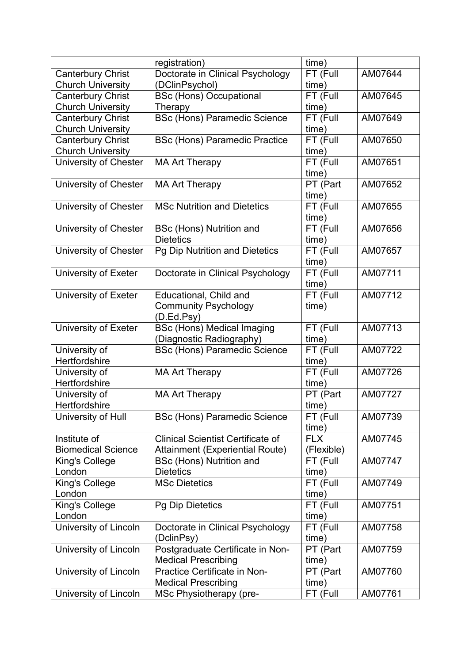|                                | registration)                            | time)             |         |
|--------------------------------|------------------------------------------|-------------------|---------|
| <b>Canterbury Christ</b>       | Doctorate in Clinical Psychology         | FT (Full          | AM07644 |
| <b>Church University</b>       | (DClinPsychol)                           | time)             |         |
| <b>Canterbury Christ</b>       | <b>BSc (Hons) Occupational</b>           | FT (Full          | AM07645 |
| <b>Church University</b>       | Therapy                                  | time)             |         |
| <b>Canterbury Christ</b>       | <b>BSc (Hons) Paramedic Science</b>      | FT (Full          | AM07649 |
| <b>Church University</b>       |                                          | time)             |         |
| <b>Canterbury Christ</b>       | <b>BSc (Hons) Paramedic Practice</b>     | FT (Full          | AM07650 |
| <b>Church University</b>       |                                          | time)             |         |
| <b>University of Chester</b>   | <b>MA Art Therapy</b>                    | FT (Full          | AM07651 |
|                                |                                          | time)             |         |
| University of Chester          | <b>MA Art Therapy</b>                    | PT (Part          | AM07652 |
|                                |                                          | time)             |         |
| University of Chester          | <b>MSc Nutrition and Dietetics</b>       | FT (Full          | AM07655 |
|                                |                                          | time)             |         |
| University of Chester          | <b>BSc (Hons) Nutrition and</b>          | FT (Full          | AM07656 |
|                                | <b>Dietetics</b>                         | time)             |         |
| University of Chester          | Pg Dip Nutrition and Dietetics           | FT (Full          | AM07657 |
|                                |                                          | time)             |         |
| University of Exeter           | Doctorate in Clinical Psychology         | FT (Full          | AM07711 |
|                                |                                          | time)             |         |
| University of Exeter           | Educational, Child and                   | FT (Full          | AM07712 |
|                                | <b>Community Psychology</b>              | time)             |         |
|                                | (D.Ed.Psy)                               |                   |         |
| University of Exeter           | <b>BSc (Hons) Medical Imaging</b>        | FT (Full          | AM07713 |
|                                | (Diagnostic Radiography)                 | time)             | AM07722 |
| University of<br>Hertfordshire | <b>BSc (Hons) Paramedic Science</b>      | FT (Full<br>time) |         |
| University of                  | <b>MA Art Therapy</b>                    | FT (Full          | AM07726 |
| Hertfordshire                  |                                          | time)             |         |
| University of                  | <b>MA Art Therapy</b>                    | PT (Part          | AM07727 |
| Hertfordshire                  |                                          | time)             |         |
| University of Hull             | <b>BSc (Hons) Paramedic Science</b>      | FT (Full          | AM07739 |
|                                |                                          | time)             |         |
| Institute of                   | <b>Clinical Scientist Certificate of</b> | <b>FLX</b>        | AM07745 |
| <b>Biomedical Science</b>      | Attainment (Experiential Route)          | (Flexible)        |         |
| King's College                 | <b>BSc (Hons) Nutrition and</b>          | FT (Full          | AM07747 |
| London                         | <b>Dietetics</b>                         | time)             |         |
| King's College                 | <b>MSc Dietetics</b>                     | FT (Full          | AM07749 |
| London                         |                                          | time)             |         |
| King's College                 | <b>Pg Dip Dietetics</b>                  | FT (Full          | AM07751 |
| London                         |                                          | time)             |         |
| University of Lincoln          | Doctorate in Clinical Psychology         | FT (Full          | AM07758 |
|                                | (DclinPsy)                               | time)             |         |
| University of Lincoln          | Postgraduate Certificate in Non-         | PT (Part          | AM07759 |
|                                | <b>Medical Prescribing</b>               | time)             |         |
| University of Lincoln          | Practice Certificate in Non-             | PT (Part          | AM07760 |
|                                | <b>Medical Prescribing</b>               | time)             |         |
| University of Lincoln          | MSc Physiotherapy (pre-                  | FT (Full          | AM07761 |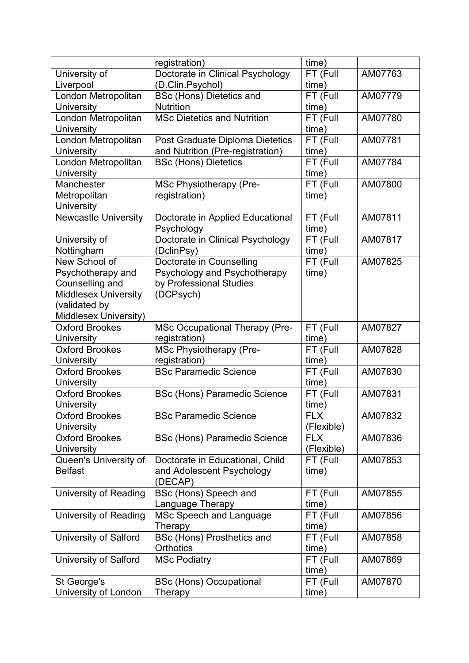|                              | registration)                         | time)      |         |
|------------------------------|---------------------------------------|------------|---------|
| University of                | Doctorate in Clinical Psychology      | FT (Full   | AM07763 |
| Liverpool                    | (D.Clin.Psychol)                      | time)      |         |
| London Metropolitan          | <b>BSc (Hons) Dietetics and</b>       | FT (Full   | AM07779 |
| <b>University</b>            | <b>Nutrition</b>                      | time)      |         |
| London Metropolitan          | <b>MSc Dietetics and Nutrition</b>    | FT (Full   | AM07780 |
| University                   |                                       | time)      |         |
| London Metropolitan          | Post Graduate Diploma Dietetics       | FT (Full   | AM07781 |
| University                   | and Nutrition (Pre-registration)      | time)      |         |
| London Metropolitan          | <b>BSc (Hons) Dietetics</b>           | FT (Full   | AM07784 |
| <b>University</b>            |                                       | time)      |         |
| Manchester                   | <b>MSc Physiotherapy (Pre-</b>        | FT (Full   | AM07800 |
| Metropolitan                 | registration)                         | time)      |         |
| <b>University</b>            |                                       |            |         |
| Newcastle University         | Doctorate in Applied Educational      | FT (Full   | AM07811 |
|                              | Psychology                            | time)      |         |
| University of                | Doctorate in Clinical Psychology      | FT (Full   | AM07817 |
| Nottingham                   | (DclinPsy)                            | time)      |         |
| New School of                | Doctorate in Counselling              | FT (Full   | AM07825 |
| Psychotherapy and            | Psychology and Psychotherapy          | time)      |         |
| Counselling and              | by Professional Studies               |            |         |
| <b>Middlesex University</b>  | (DCPsych)                             |            |         |
| (validated by                |                                       |            |         |
| Middlesex University)        |                                       |            |         |
| <b>Oxford Brookes</b>        | <b>MSc Occupational Therapy (Pre-</b> | FT (Full   | AM07827 |
| University                   | registration)                         | time)      |         |
| <b>Oxford Brookes</b>        | <b>MSc Physiotherapy (Pre-</b>        | FT (Full   | AM07828 |
| <b>University</b>            | registration)                         | time)      |         |
| <b>Oxford Brookes</b>        | <b>BSc Paramedic Science</b>          | FT (Full   | AM07830 |
| University                   |                                       | time)      |         |
| <b>Oxford Brookes</b>        | <b>BSc (Hons) Paramedic Science</b>   | FT (Full   | AM07831 |
| University                   |                                       | time)      |         |
| <b>Oxford Brookes</b>        | <b>BSc Paramedic Science</b>          | <b>FLX</b> | AM07832 |
| <b>University</b>            |                                       | (Flexible) |         |
| <b>Oxford Brookes</b>        | <b>BSc (Hons) Paramedic Science</b>   | <b>FLX</b> | AM07836 |
| University                   |                                       | (Flexible) |         |
| Queen's University of        | Doctorate in Educational, Child       | FT (Full   | AM07853 |
| <b>Belfast</b>               | and Adolescent Psychology             | time)      |         |
|                              | (DECAP)                               |            |         |
| <b>University of Reading</b> | BSc (Hons) Speech and                 | FT (Full   | AM07855 |
|                              | Language Therapy                      | time)      |         |
| University of Reading        | MSc Speech and Language               | FT (Full   | AM07856 |
|                              | Therapy                               | time)      |         |
| <b>University of Salford</b> | <b>BSc (Hons) Prosthetics and</b>     | FT (Full   | AM07858 |
|                              | <b>Orthotics</b>                      | time)      |         |
| <b>University of Salford</b> | <b>MSc Podiatry</b>                   | FT (Full   | AM07869 |
|                              |                                       | time)      |         |
| St George's                  | <b>BSc (Hons) Occupational</b>        | FT (Full   | AM07870 |
| University of London         | Therapy                               | time)      |         |